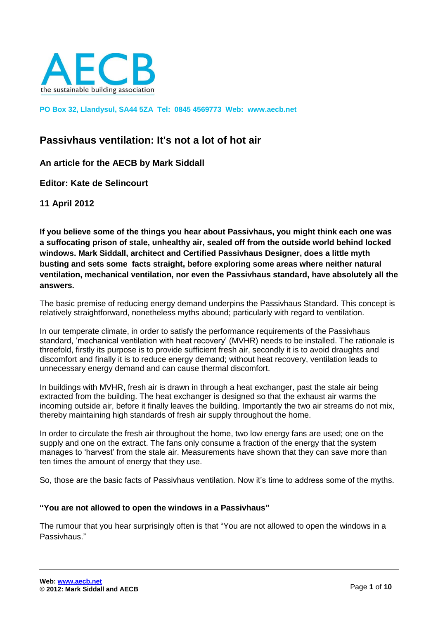

**PO Box 32, Llandysul, SA44 5ZA Tel: 0845 4569773 Web: www.aecb.net**

# **Passivhaus ventilation: It's not a lot of hot air**

**An article for the AECB by Mark Siddall** 

**Editor: Kate de Selincourt** 

**11 April 2012**

**If you believe some of the things you hear about Passivhaus, you might think each one was a suffocating prison of stale, unhealthy air, sealed off from the outside world behind locked windows. Mark Siddall, architect and Certified Passivhaus Designer, does a little myth busting and sets some facts straight, before exploring some areas where neither natural ventilation, mechanical ventilation, nor even the Passivhaus standard, have absolutely all the answers.**

The basic premise of reducing energy demand underpins the Passivhaus Standard. This concept is relatively straightforward, nonetheless myths abound; particularly with regard to ventilation.

In our temperate climate, in order to satisfy the performance requirements of the Passivhaus standard, 'mechanical ventilation with heat recovery' (MVHR) needs to be installed. The rationale is threefold, firstly its purpose is to provide sufficient fresh air, secondly it is to avoid draughts and discomfort and finally it is to reduce energy demand; without heat recovery, ventilation leads to unnecessary energy demand and can cause thermal discomfort.

In buildings with MVHR, fresh air is drawn in through a heat exchanger, past the stale air being extracted from the building. The heat exchanger is designed so that the exhaust air warms the incoming outside air, before it finally leaves the building. Importantly the two air streams do not mix, thereby maintaining high standards of fresh air supply throughout the home.

In order to circulate the fresh air throughout the home, two low energy fans are used; one on the supply and one on the extract. The fans only consume a fraction of the energy that the system manages to 'harvest' from the stale air. Measurements have shown that they can save more than ten times the amount of energy that they use.

So, those are the basic facts of Passivhaus ventilation. Now it's time to address some of the myths.

#### **"You are not allowed to open the windows in a Passivhaus"**

The rumour that you hear surprisingly often is that "You are not allowed to open the windows in a Passivhaus."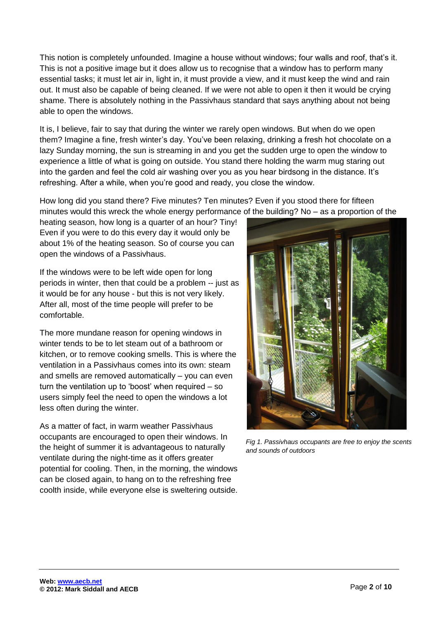This notion is completely unfounded. Imagine a house without windows; four walls and roof, that's it. This is not a positive image but it does allow us to recognise that a window has to perform many essential tasks; it must let air in, light in, it must provide a view, and it must keep the wind and rain out. It must also be capable of being cleaned. If we were not able to open it then it would be crying shame. There is absolutely nothing in the Passivhaus standard that says anything about not being able to open the windows.

It is, I believe, fair to say that during the winter we rarely open windows. But when do we open them? Imagine a fine, fresh winter's day. You've been relaxing, drinking a fresh hot chocolate on a lazy Sunday morning, the sun is streaming in and you get the sudden urge to open the window to experience a little of what is going on outside. You stand there holding the warm mug staring out into the garden and feel the cold air washing over you as you hear birdsong in the distance. It's refreshing. After a while, when you're good and ready, you close the window.

How long did you stand there? Five minutes? Ten minutes? Even if you stood there for fifteen minutes would this wreck the whole energy performance of the building? No – as a proportion of the

heating season, how long is a quarter of an hour? Tiny! Even if you were to do this every day it would only be about 1% of the heating season. So of course you can open the windows of a Passivhaus.

If the windows were to be left wide open for long periods in winter, then that could be a problem -- just as it would be for any house - but this is not very likely. After all, most of the time people will prefer to be comfortable.

The more mundane reason for opening windows in winter tends to be to let steam out of a bathroom or kitchen, or to remove cooking smells. This is where the ventilation in a Passivhaus comes into its own: steam and smells are removed automatically – you can even turn the ventilation up to 'boost' when required – so users simply feel the need to open the windows a lot less often during the winter.

As a matter of fact, in warm weather Passivhaus occupants are encouraged to open their windows. In the height of summer it is advantageous to naturally ventilate during the night-time as it offers greater potential for cooling. Then, in the morning, the windows can be closed again, to hang on to the refreshing free coolth inside, while everyone else is sweltering outside.



*Fig 1. Passivhaus occupants are free to enjoy the scents and sounds of outdoors*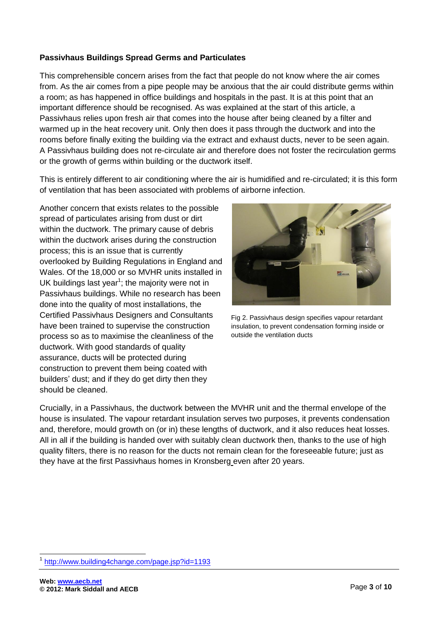### **Passivhaus Buildings Spread Germs and Particulates**

This comprehensible concern arises from the fact that people do not know where the air comes from. As the air comes from a pipe people may be anxious that the air could distribute germs within a room; as has happened in office buildings and hospitals in the past. It is at this point that an important difference should be recognised. As was explained at the start of this article, a Passivhaus relies upon fresh air that comes into the house after being cleaned by a filter and warmed up in the heat recovery unit. Only then does it pass through the ductwork and into the rooms before finally exiting the building via the extract and exhaust ducts, never to be seen again. A Passivhaus building does not re-circulate air and therefore does not foster the recirculation germs or the growth of germs within building or the ductwork itself.

This is entirely different to air conditioning where the air is humidified and re-circulated; it is this form of ventilation that has been associated with problems of airborne infection.

Another concern that exists relates to the possible spread of particulates arising from dust or dirt within the ductwork. The primary cause of debris within the ductwork arises during the construction process; this is an issue that is currently overlooked by Building Regulations in England and Wales. Of the 18,000 or so MVHR units installed in UK buildings last year<sup>1</sup>; the majority were not in Passivhaus buildings. While no research has been done into the quality of most installations, the Certified Passivhaus Designers and Consultants have been trained to supervise the construction process so as to maximise the cleanliness of the ductwork. With good standards of quality assurance, ducts will be protected during construction to prevent them being coated with builders' dust; and if they do get dirty then they should be cleaned.



Fig 2. Passivhaus design specifies vapour retardant insulation, to prevent condensation forming inside or outside the ventilation ducts

Crucially, in a Passivhaus, the ductwork between the MVHR unit and the thermal envelope of the house is insulated. The vapour retardant insulation serves two purposes, it prevents condensation and, therefore, mould growth on (or in) these lengths of ductwork, and it also reduces heat losses. All in all if the building is handed over with suitably clean ductwork then, thanks to the use of high quality filters, there is no reason for the ducts not remain clean for the foreseeable future; just as they have at the first Passivhaus homes in Kronsberg even after 20 years.

<sup>-</sup>1 <http://www.building4change.com/page.jsp?id=1193>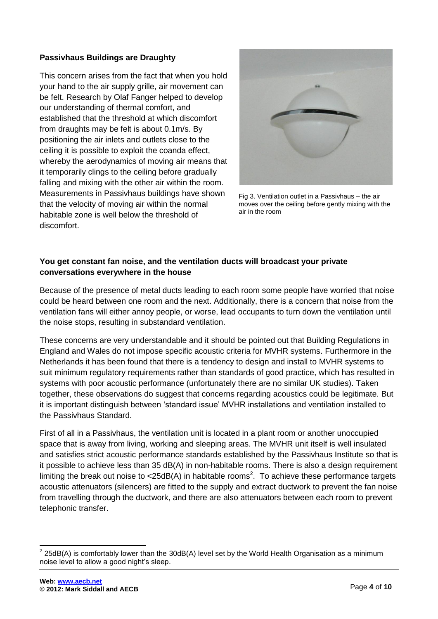### **Passivhaus Buildings are Draughty**

This concern arises from the fact that when you hold your hand to the air supply grille, air movement can be felt. Research by Olaf Fanger helped to develop our understanding of thermal comfort, and established that the threshold at which discomfort from draughts may be felt is about 0.1m/s. By positioning the air inlets and outlets close to the ceiling it is possible to exploit the coanda effect, whereby the aerodynamics of moving air means that it temporarily clings to the ceiling before gradually falling and mixing with the other air within the room. Measurements in Passivhaus buildings have shown that the velocity of moving air within the normal habitable zone is well below the threshold of discomfort.



Fig 3. Ventilation outlet in a Passivhaus – the air moves over the ceiling before gently mixing with the air in the room

# **You get constant fan noise, and the ventilation ducts will broadcast your private conversations everywhere in the house**

Because of the presence of metal ducts leading to each room some people have worried that noise could be heard between one room and the next. Additionally, there is a concern that noise from the ventilation fans will either annoy people, or worse, lead occupants to turn down the ventilation until the noise stops, resulting in substandard ventilation.

These concerns are very understandable and it should be pointed out that Building Regulations in England and Wales do not impose specific acoustic criteria for MVHR systems. Furthermore in the Netherlands it has been found that there is a tendency to design and install to MVHR systems to suit minimum regulatory requirements rather than standards of good practice, which has resulted in systems with poor acoustic performance (unfortunately there are no similar UK studies). Taken together, these observations do suggest that concerns regarding acoustics could be legitimate. But it is important distinguish between 'standard issue' MVHR installations and ventilation installed to the Passivhaus Standard.

First of all in a Passivhaus, the ventilation unit is located in a plant room or another unoccupied space that is away from living, working and sleeping areas. The MVHR unit itself is well insulated and satisfies strict acoustic performance standards established by the Passivhaus Institute so that is it possible to achieve less than 35 dB(A) in non-habitable rooms. There is also a design requirement limiting the break out noise to <25dB(A) in habitable rooms<sup>2</sup>. To achieve these performance targets acoustic attenuators (silencers) are fitted to the supply and extract ductwork to prevent the fan noise from travelling through the ductwork, and there are also attenuators between each room to prevent telephonic transfer.

 2 25dB(A) is comfortably lower than the 30dB(A) level set by the World Health Organisation as a minimum noise level to allow a good night's sleep.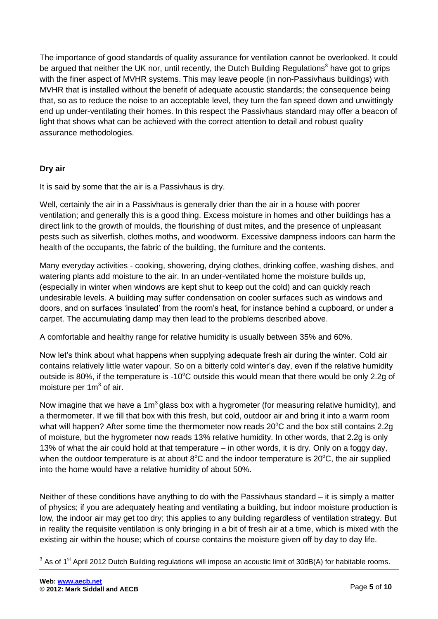The importance of good standards of quality assurance for ventilation cannot be overlooked. It could be argued that neither the UK nor, until recently, the Dutch Building Regulations<sup>3</sup> have got to grips with the finer aspect of MVHR systems. This may leave people (in non-Passivhaus buildings) with MVHR that is installed without the benefit of adequate acoustic standards; the consequence being that, so as to reduce the noise to an acceptable level, they turn the fan speed down and unwittingly end up under-ventilating their homes. In this respect the Passivhaus standard may offer a beacon of light that shows what can be achieved with the correct attention to detail and robust quality assurance methodologies.

# **Dry air**

It is said by some that the air is a Passivhaus is dry.

Well, certainly the air in a Passivhaus is generally drier than the air in a house with poorer ventilation; and generally this is a good thing. Excess moisture in homes and other buildings has a direct link to the growth of moulds, the flourishing of dust mites, and the presence of unpleasant pests such as silverfish, clothes moths, and woodworm. Excessive dampness indoors can harm the health of the occupants, the fabric of the building, the furniture and the contents.

Many everyday activities - cooking, showering, drying clothes, drinking coffee, washing dishes, and watering plants add moisture to the air. In an under-ventilated home the moisture builds up, (especially in winter when windows are kept shut to keep out the cold) and can quickly reach undesirable levels. A building may suffer condensation on cooler surfaces such as windows and doors, and on surfaces 'insulated' from the room's heat, for instance behind a cupboard, or under a carpet. The accumulating damp may then lead to the problems described above.

A comfortable and healthy range for relative humidity is usually between 35% and 60%.

Now let's think about what happens when supplying adequate fresh air during the winter. Cold air contains relatively little water vapour. So on a bitterly cold winter's day, even if the relative humidity outside is 80%, if the temperature is -10 $\degree$ C outside this would mean that there would be only 2.2q of moisture per  $1m<sup>3</sup>$  of air.

Now imagine that we have a 1m<sup>3</sup> glass box with a hygrometer (for measuring relative humidity), and a thermometer. If we fill that box with this fresh, but cold, outdoor air and bring it into a warm room what will happen? After some time the thermometer now reads  $20^{\circ}$ C and the box still contains 2.2g of moisture, but the hygrometer now reads 13% relative humidity. In other words, that 2.2g is only 13% of what the air could hold at that temperature – in other words, it is dry. Only on a foggy day, when the outdoor temperature is at about  $8^{\circ}$ C and the indoor temperature is 20 $^{\circ}$ C, the air supplied into the home would have a relative humidity of about 50%.

Neither of these conditions have anything to do with the Passivhaus standard – it is simply a matter of physics; if you are adequately heating and ventilating a building, but indoor moisture production is low, the indoor air may get too dry; this applies to any building regardless of ventilation strategy. But in reality the requisite ventilation is only bringing in a bit of fresh air at a time, which is mixed with the existing air within the house; which of course contains the moisture given off by day to day life.

 3 As of 1st April 2012 Dutch Building regulations will impose an acoustic limit of 30dB(A) for habitable rooms.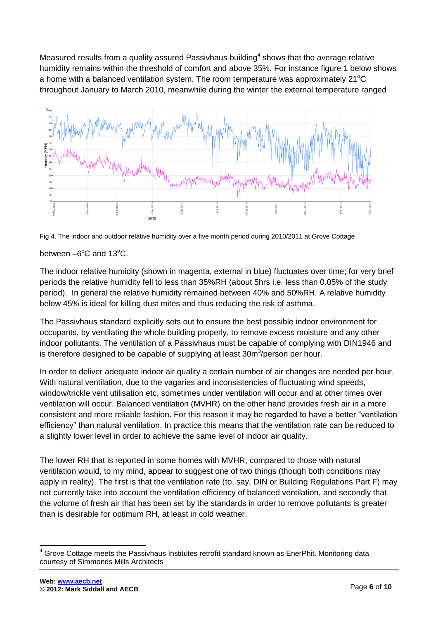Measured results from a quality assured Passivhaus building<sup>4</sup> shows that the average relative humidity remains within the threshold of comfort and above 35%. For instance figure 1 below shows a home with a balanced ventilation system. The room temperature was approximately  $21^{\circ}$ C throughout January to March 2010, meanwhile during the winter the external temperature ranged



Fig 4. The indoor and outdoor relative humidity over a five month period during 2010/2011 at Grove Cottage

between  $-6^{\circ}$ C and 13 $^{\circ}$ C.

The indoor relative humidity (shown in magenta, external in blue) fluctuates over time; for very brief periods the relative humidity fell to less than 35%RH (about 5hrs i.e. less than 0.05% of the study period). In general the relative humidity remained between 40% and 50%RH. A relative humidity below 45% is ideal for killing dust mites and thus reducing the risk of asthma.

The Passivhaus standard explicitly sets out to ensure the best possible indoor environment for occupants, by ventilating the whole building properly, to remove excess moisture and any other indoor pollutants. The ventilation of a Passivhaus must be capable of complying with DIN1946 and is therefore designed to be capable of supplying at least  $30m<sup>3</sup>/person$  per hour.

In order to deliver adequate indoor air quality a certain number of air changes are needed per hour. With natural ventilation, due to the vagaries and inconsistencies of fluctuating wind speeds, window/trickle vent utilisation etc, sometimes under ventilation will occur and at other times over ventilation will occur. Balanced ventilation (MVHR) on the other hand provides fresh air in a more consistent and more reliable fashion. For this reason it may be regarded to have a better "ventilation efficiency" than natural ventilation. In practice this means that the ventilation rate can be reduced to a slightly lower level in order to achieve the same level of indoor air quality.

The lower RH that is reported in some homes with MVHR, compared to those with natural ventilation would, to my mind, appear to suggest one of two things (though both conditions may apply in reality). The first is that the ventilation rate (to, say, DIN or Building Regulations Part F) may not currently take into account the ventilation efficiency of balanced ventilation, and secondly that the volume of fresh air that has been set by the standards in order to remove pollutants is greater than is desirable for optimum RH, at least in cold weather.

-

 $4$  Grove Cottage meets the Passivhaus Institutes retrofit standard known as EnerPhit. Monitoring data courtesy of Simmonds Mills Architects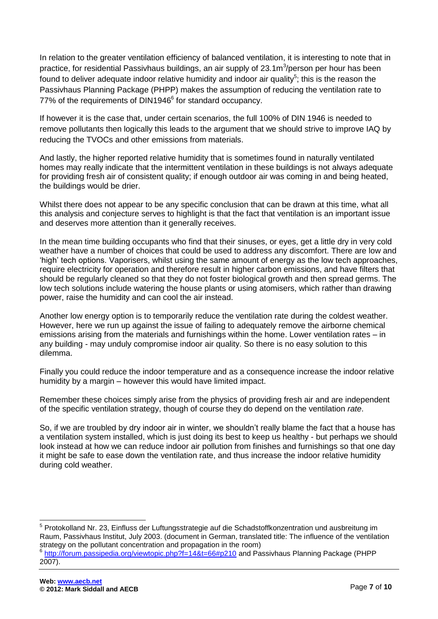In relation to the greater ventilation efficiency of balanced ventilation, it is interesting to note that in practice, for residential Passivhaus buildings, an air supply of 23.1m<sup>3</sup>/person per hour has been found to deliver adequate indoor relative humidity and indoor air quality<sup>5</sup>; this is the reason the Passivhaus Planning Package (PHPP) makes the assumption of reducing the ventilation rate to 77% of the requirements of DIN1946 $<sup>6</sup>$  for standard occupancy.</sup>

If however it is the case that, under certain scenarios, the full 100% of DIN 1946 is needed to remove pollutants then logically this leads to the argument that we should strive to improve IAQ by reducing the TVOCs and other emissions from materials.

And lastly, the higher reported relative humidity that is sometimes found in naturally ventilated homes may really indicate that the intermittent ventilation in these buildings is not always adequate for providing fresh air of consistent quality; if enough outdoor air was coming in and being heated, the buildings would be drier.

Whilst there does not appear to be any specific conclusion that can be drawn at this time, what all this analysis and conjecture serves to highlight is that the fact that ventilation is an important issue and deserves more attention than it generally receives.

In the mean time building occupants who find that their sinuses, or eyes, get a little dry in very cold weather have a number of choices that could be used to address any discomfort. There are low and 'high' tech options. Vaporisers, whilst using the same amount of energy as the low tech approaches, require electricity for operation and therefore result in higher carbon emissions, and have filters that should be regularly cleaned so that they do not foster biological growth and then spread germs. The low tech solutions include watering the house plants or using atomisers, which rather than drawing power, raise the humidity and can cool the air instead.

Another low energy option is to temporarily reduce the ventilation rate during the coldest weather. However, here we run up against the issue of failing to adequately remove the airborne chemical emissions arising from the materials and furnishings within the home. Lower ventilation rates – in any building - may unduly compromise indoor air quality. So there is no easy solution to this dilemma.

Finally you could reduce the indoor temperature and as a consequence increase the indoor relative humidity by a margin – however this would have limited impact.

Remember these choices simply arise from the physics of providing fresh air and are independent of the specific ventilation strategy, though of course they do depend on the ventilation *rate*.

So, if we are troubled by dry indoor air in winter, we shouldn't really blame the fact that a house has a ventilation system installed, which is just doing its best to keep us healthy - but perhaps we should look instead at how we can reduce indoor air pollution from finishes and furnishings so that one day it might be safe to ease down the ventilation rate, and thus increase the indoor relative humidity during cold weather.

<sup>-</sup><sup>5</sup> Protokolland Nr. 23, Einfluss der Luftungsstrategie auf die Schadstoffkonzentration und ausbreitung im Raum, Passivhaus Institut, July 2003. (document in German, translated title: The influence of the ventilation strategy on the pollutant concentration and propagation in the room)

<sup>&</sup>lt;sup>6</sup> <http://forum.passipedia.org/viewtopic.php?f=14&t=66#p210> and Passivhaus Planning Package (PHPP 2007).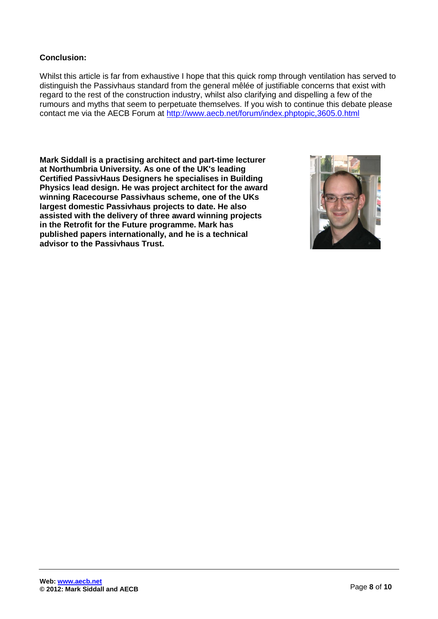### **Conclusion:**

Whilst this article is far from exhaustive I hope that this quick romp through ventilation has served to distinguish the Passivhaus standard from the general mêlée of justifiable concerns that exist with regard to the rest of the construction industry, whilst also clarifying and dispelling a few of the rumours and myths that seem to perpetuate themselves. If you wish to continue this debate please contact me via the AECB Forum at<http://www.aecb.net/forum/index.phptopic,3605.0.html>

**Mark Siddall is a practising architect and part-time lecturer at Northumbria University. As one of the UK's leading Certified PassivHaus Designers he specialises in Building Physics lead design. He was project architect for the award winning Racecourse Passivhaus scheme, one of the UKs largest domestic Passivhaus projects to date. He also assisted with the delivery of three award winning projects in the Retrofit for the Future programme. Mark has published papers internationally, and he is a technical advisor to the Passivhaus Trust.**

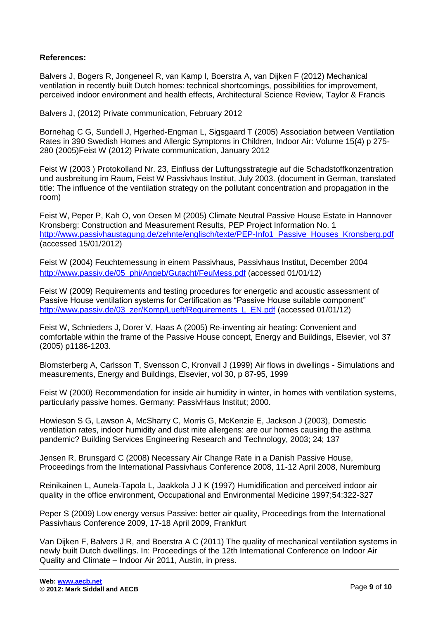#### **References:**

Balvers J, Bogers R, Jongeneel R, van Kamp I, Boerstra A, van Dijken F (2012) Mechanical ventilation in recently built Dutch homes: technical shortcomings, possibilities for improvement, perceived indoor environment and health effects, Architectural Science Review, Taylor & Francis

Balvers J, (2012) Private communication, February 2012

Bornehag C G, Sundell J, Hgerhed-Engman L, Sigsgaard T (2005) Association between Ventilation Rates in 390 Swedish Homes and Allergic Symptoms in Children, Indoor Air: Volume 15(4) p 275- 280 (2005)Feist W (2012) Private communication, January 2012

Feist W (2003 ) Protokolland Nr. 23, Einfluss der Luftungsstrategie auf die Schadstoffkonzentration und ausbreitung im Raum, Feist W Passivhaus Institut, July 2003. (document in German, translated title: The influence of the ventilation strategy on the pollutant concentration and propagation in the room)

Feist W, Peper P, Kah O, von Oesen M (2005) Climate Neutral Passive House Estate in Hannover Kronsberg: Construction and Measurement Results, PEP Project Information No. 1 [http://www.passivhaustagung.de/zehnte/englisch/texte/PEP-Info1\\_Passive\\_Houses\\_Kronsberg.pdf](http://www.passivhaustagung.de/zehnte/englisch/texte/PEP-Info1_Passive_Houses_Kronsberg.pdf) (accessed 15/01/2012)

Feist W (2004) Feuchtemessung in einem Passivhaus, Passivhaus Institut, December 2004 [http://www.passiv.de/05\\_phi/Angeb/Gutacht/FeuMess.pdf](http://www.passiv.de/05_phi/Angeb/Gutacht/FeuMess.pdf) (accessed 01/01/12)

Feist W (2009) Requirements and testing procedures for energetic and acoustic assessment of Passive House ventilation systems for Certification as "Passive House suitable component" [http://www.passiv.de/03\\_zer/Komp/Lueft/Requirements\\_L\\_EN.pdf](http://www.passiv.de/03_zer/Komp/Lueft/Requirements_L_EN.pdf) (accessed 01/01/12)

Feist W, Schnieders J, Dorer V, Haas A (2005) Re-inventing air heating: Convenient and comfortable within the frame of the Passive House concept, Energy and Buildings, Elsevier, vol 37 (2005) p1186-1203.

Blomsterberg A, Carlsson T, Svensson C, Kronvall J (1999) Air flows in dwellings - Simulations and measurements, Energy and Buildings, Elsevier, vol 30, p 87-95, 1999

Feist W (2000) Recommendation for inside air humidity in winter, in homes with ventilation systems, particularly passive homes. Germany: PassivHaus Institut; 2000.

Howieson S G, Lawson A, McSharry C, Morris G, McKenzie E, Jackson J (2003), Domestic ventilation rates, indoor humidity and dust mite allergens: are our homes causing the asthma pandemic? Building Services Engineering Research and Technology, 2003; 24; 137

Jensen R, Brunsgard C (2008) Necessary Air Change Rate in a Danish Passive House, Proceedings from the International Passivhaus Conference 2008, 11-12 April 2008, Nuremburg

Reinikainen L, Aunela-Tapola L, Jaakkola J J K (1997) Humidification and perceived indoor air quality in the office environment, Occupational and Environmental Medicine 1997;54:322-327

Peper S (2009) Low energy versus Passive: better air quality, Proceedings from the International Passivhaus Conference 2009, 17-18 April 2009, Frankfurt

Van Dijken F, Balvers J R, and Boerstra A C (2011) The quality of mechanical ventilation systems in newly built Dutch dwellings. In: Proceedings of the 12th International Conference on Indoor Air Quality and Climate – Indoor Air 2011, Austin, in press.